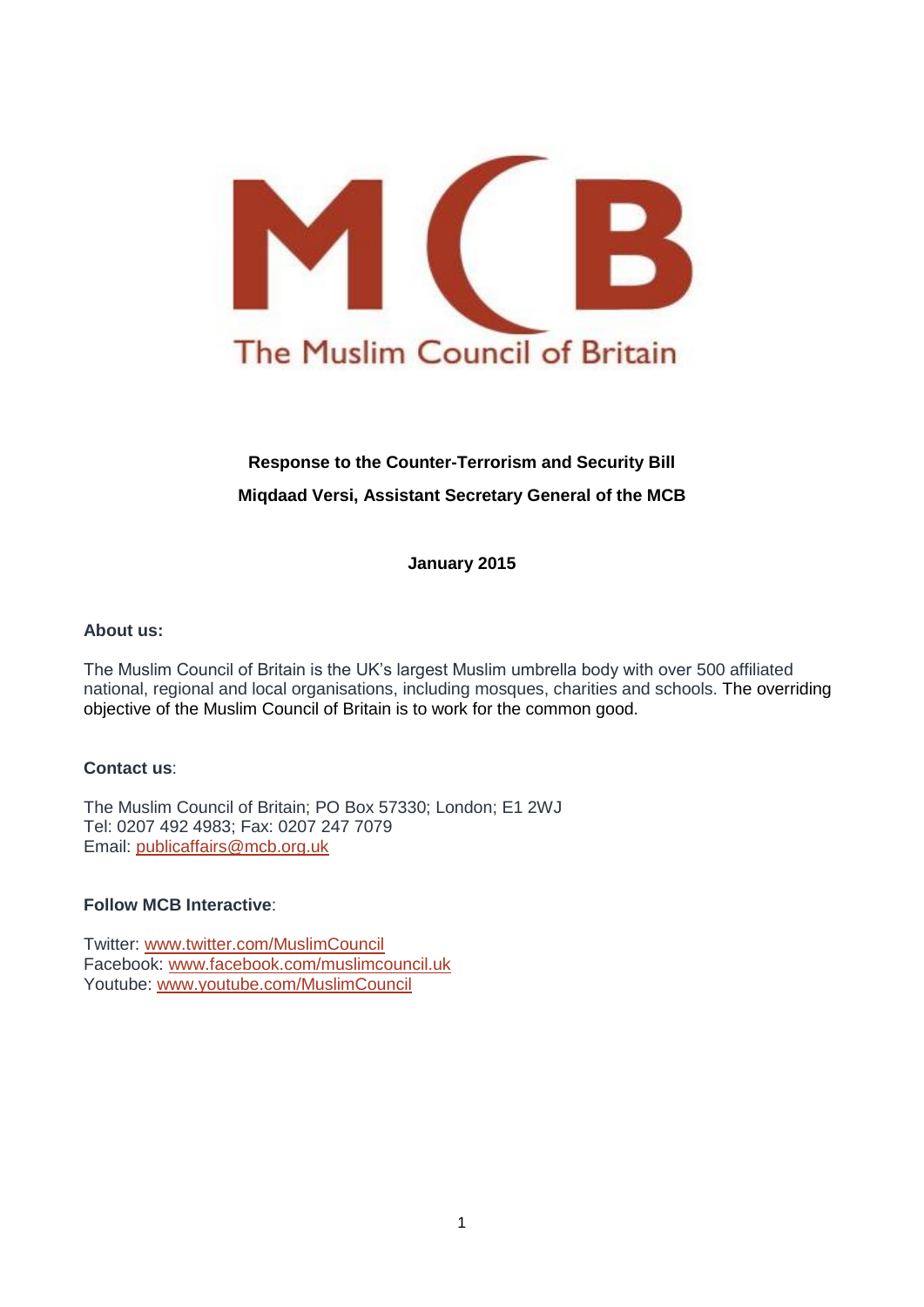

# **Response to the Counter-Terrorism and Security Bill Miqdaad Versi, Assistant Secretary General of the MCB**

**January 2015**

### **About us:**

The Muslim Council of Britain is the UK's largest Muslim umbrella body with over 500 affiliated national, regional and local organisations, including mosques, charities and schools. The overriding objective of the Muslim Council of Britain is to work for the common good.

### **Contact us**:

The Muslim Council of Britain; PO Box 57330; London; E1 2WJ Tel: 0207 492 4983; Fax: 0207 247 7079 Email: [publicaffairs@mcb.org.uk](mailto:publicaffairs@mcb.org.uk)

### **Follow MCB Interactive**:

Twitter: [www.twitter.com/MuslimCouncil](http://www.twitter.com/MuslimCouncil) Facebook: [www.facebook.com/muslimcouncil.uk](http://www.facebook.com/muslimcouncil.uk) Youtube: [www.youtube.com/MuslimCouncil](http://www.youtube.com/MuslimCouncil)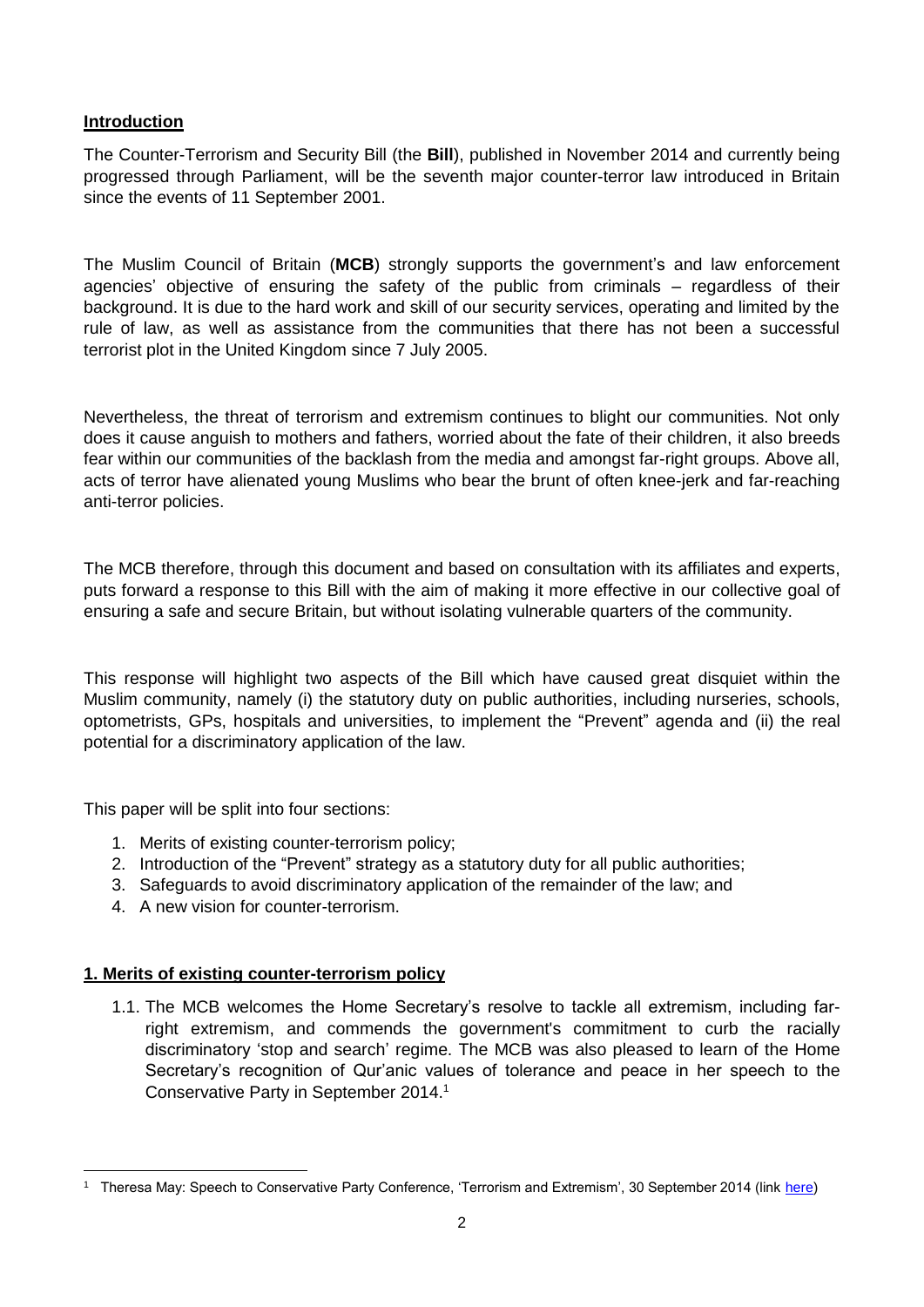## **Introduction**

The Counter-Terrorism and Security Bill (the **Bill**), published in November 2014 and currently being progressed through Parliament, will be the seventh major counter-terror law introduced in Britain since the events of 11 September 2001.

The Muslim Council of Britain (**MCB**) strongly supports the government's and law enforcement agencies' objective of ensuring the safety of the public from criminals – regardless of their background. It is due to the hard work and skill of our security services, operating and limited by the rule of law, as well as assistance from the communities that there has not been a successful terrorist plot in the United Kingdom since 7 July 2005.

Nevertheless, the threat of terrorism and extremism continues to blight our communities. Not only does it cause anguish to mothers and fathers, worried about the fate of their children, it also breeds fear within our communities of the backlash from the media and amongst far-right groups. Above all, acts of terror have alienated young Muslims who bear the brunt of often knee-jerk and far-reaching anti-terror policies.

The MCB therefore, through this document and based on consultation with its affiliates and experts, puts forward a response to this Bill with the aim of making it more effective in our collective goal of ensuring a safe and secure Britain, but without isolating vulnerable quarters of the community.

This response will highlight two aspects of the Bill which have caused great disquiet within the Muslim community, namely (i) the statutory duty on public authorities, including nurseries, schools, optometrists, GPs, hospitals and universities, to implement the "Prevent" agenda and (ii) the real potential for a discriminatory application of the law.

This paper will be split into four sections:

- 1. Merits of existing counter-terrorism policy;
- 2. Introduction of the "Prevent" strategy as a statutory duty for all public authorities;
- 3. Safeguards to avoid discriminatory application of the remainder of the law; and
- 4. A new vision for counter-terrorism.

### **1. Merits of existing counter-terrorism policy**

**.** 

1.1. The MCB welcomes the Home Secretary's resolve to tackle all extremism, including farright extremism, and commends the government's commitment to curb the racially discriminatory 'stop and search' regime. The MCB was also pleased to learn of the Home Secretary's recognition of Qur'anic values of tolerance and peace in her speech to the Conservative Party in September 2014. 1

<sup>&</sup>lt;sup>1</sup> Theresa May: Speech to Conservative Party Conference, 'Terrorism and Extremism', 30 September 2014 (link [here\)](http://blogs.spectator.co.uk/coffeehouse/2014/09/theresa-mays-speech-on-terrorism-and-extremism-full-text-and-audio/)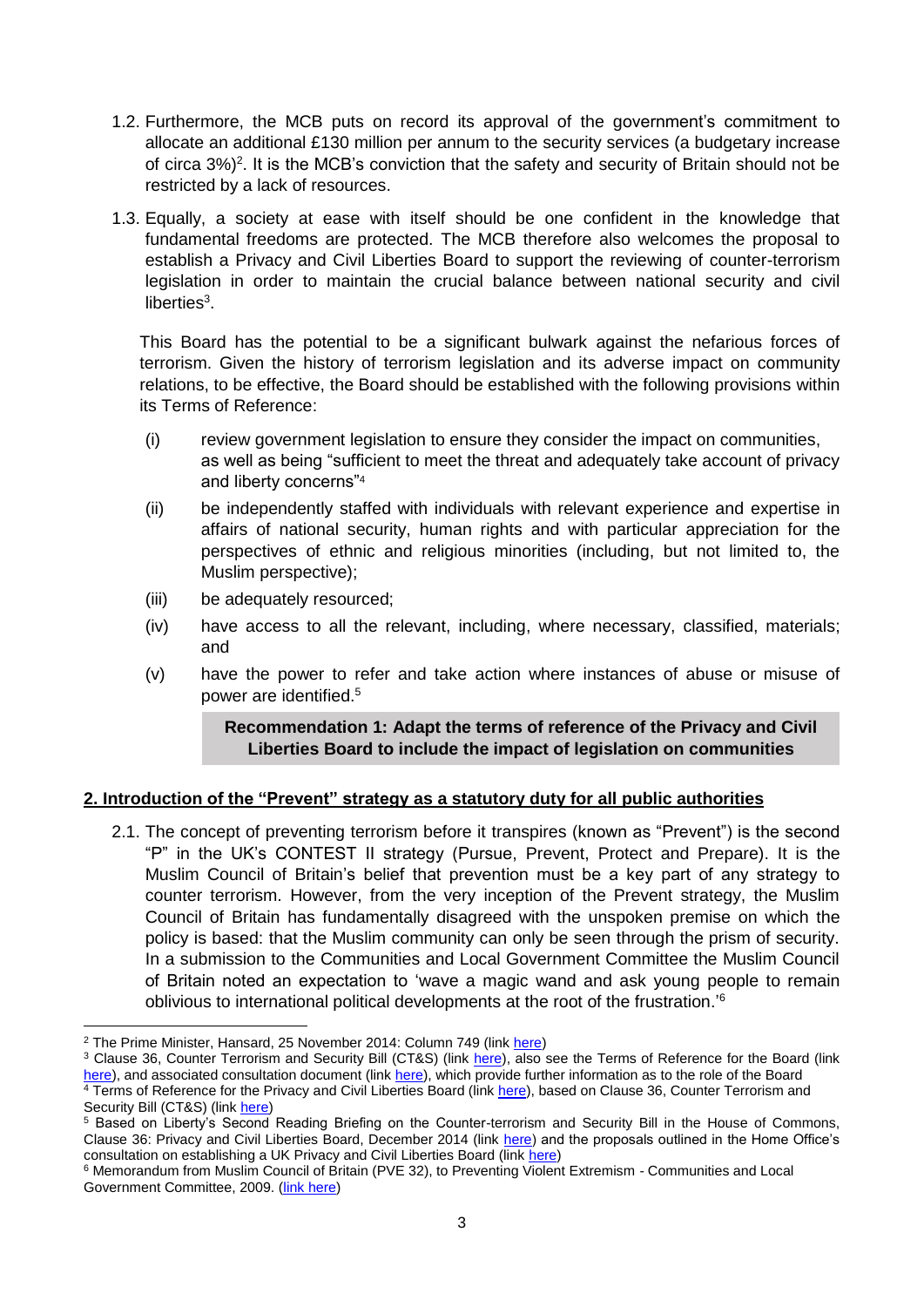- 1.2. Furthermore, the MCB puts on record its approval of the government's commitment to allocate an additional £130 million per annum to the security services (a budgetary increase of circa 3%)<sup>2</sup>. It is the MCB's conviction that the safety and security of Britain should not be restricted by a lack of resources.
- 1.3. Equally, a society at ease with itself should be one confident in the knowledge that fundamental freedoms are protected. The MCB therefore also welcomes the proposal to establish a Privacy and Civil Liberties Board to support the reviewing of counter-terrorism legislation in order to maintain the crucial balance between national security and civil liberties $3$ .

This Board has the potential to be a significant bulwark against the nefarious forces of terrorism. Given the history of terrorism legislation and its adverse impact on community relations, to be effective, the Board should be established with the following provisions within its Terms of Reference:

- (i) review government legislation to ensure they consider the impact on communities, as well as being "sufficient to meet the threat and adequately take account of privacy and liberty concerns"<sup>4</sup>
- (ii) be independently staffed with individuals with relevant experience and expertise in affairs of national security, human rights and with particular appreciation for the perspectives of ethnic and religious minorities (including, but not limited to, the Muslim perspective);
- (iii) be adequately resourced;
- (iv) have access to all the relevant, including, where necessary, classified, materials; and
- (v) have the power to refer and take action where instances of abuse or misuse of power are identified. 5

## **Recommendation 1: Adapt the terms of reference of the Privacy and Civil Liberties Board to include the impact of legislation on communities**

# **2. Introduction of the "Prevent" strategy as a statutory duty for all public authorities**

2.1. The concept of preventing terrorism before it transpires (known as "Prevent") is the second "P" in the UK's CONTEST II strategy (Pursue, Prevent, Protect and Prepare). It is the Muslim Council of Britain's belief that prevention must be a key part of any strategy to counter terrorism. However, from the very inception of the Prevent strategy, the Muslim Council of Britain has fundamentally disagreed with the unspoken premise on which the policy is based: that the Muslim community can only be seen through the prism of security. In a submission to the Communities and Local Government Committee the Muslim Council of Britain noted an expectation to 'wave a magic wand and ask young people to remain oblivious to international political developments at the root of the frustration.'<sup>6</sup>

 $\overline{\phantom{a}}$ <sup>2</sup> The Prime Minister, Hansard, 25 November 2014: Column 749 (link [here\)](http://www.publications.parliament.uk/pa/cm201415/cmhansrd/cm141125/debtext/141125-0001.htm)

<sup>&</sup>lt;sup>3</sup> Clause 36, Counter Terrorism and Security Bill (CT&S) (link [here\)](http://www.publications.parliament.uk/pa/bills/lbill/2014-2015/0075/lbill_2014-20150075_en_4.htm#pt7-pb1-l1g36), also see the Terms of Reference for the Board (link [here\)](https://www.gov.uk/government/uploads/system/uploads/attachment_data/file/330748/Independent_Privacy_and_Civil_Liberties_Board.pdf), and associated consultation document (lin[k here\)](https://www.gov.uk/government/uploads/system/uploads/attachment_data/file/389902/PCLB_Consultation_Paper_Final_Revised_19_12_2014.pdf), which provide further information as to the role of the Board <sup>4</sup> Terms of Reference for the Privacy and Civil Liberties Board (link [here\)](https://www.gov.uk/government/uploads/system/uploads/attachment_data/file/330748/Independent_Privacy_and_Civil_Liberties_Board.pdf), based on Clause 36, Counter Terrorism and Security Bill (CT&S) (link [here\)](http://www.publications.parliament.uk/pa/bills/lbill/2014-2015/0075/lbill_2014-20150075_en_4.htm#pt7-pb1-l1g36)

<sup>5</sup> Based on Liberty's Second Reading Briefing on the Counter-terrorism and Security Bill in the House of Commons, Clause 36: Privacy and Civil Liberties Board, December 2014 (link [here\)](https://www.liberty-human-rights.org.uk/sites/default/files/Liberty%27s%20Second%20Reading%20Briefing%20on%20the%20Counter-Terrorism%20%26%20Security%20Bill%20in%20the%20House%20of%20Commons.pdf) and the proposals outlined in the Home Office's consultation on establishing a UK Privacy and Civil Liberties Board (lin[k here\)](https://www.gov.uk/government/uploads/system/uploads/attachment_data/file/389902/PCLB_Consultation_Paper_Final_Revised_19_12_2014.pdf)

<sup>6</sup> Memorandum from Muslim Council of Britain (PVE 32), to Preventing Violent Extremism - Communities and Local Government Committee, 2009. [\(link here\)](http://www.publications.parliament.uk/pa/cm200910/cmselect/cmcomloc/65/65we25.htm)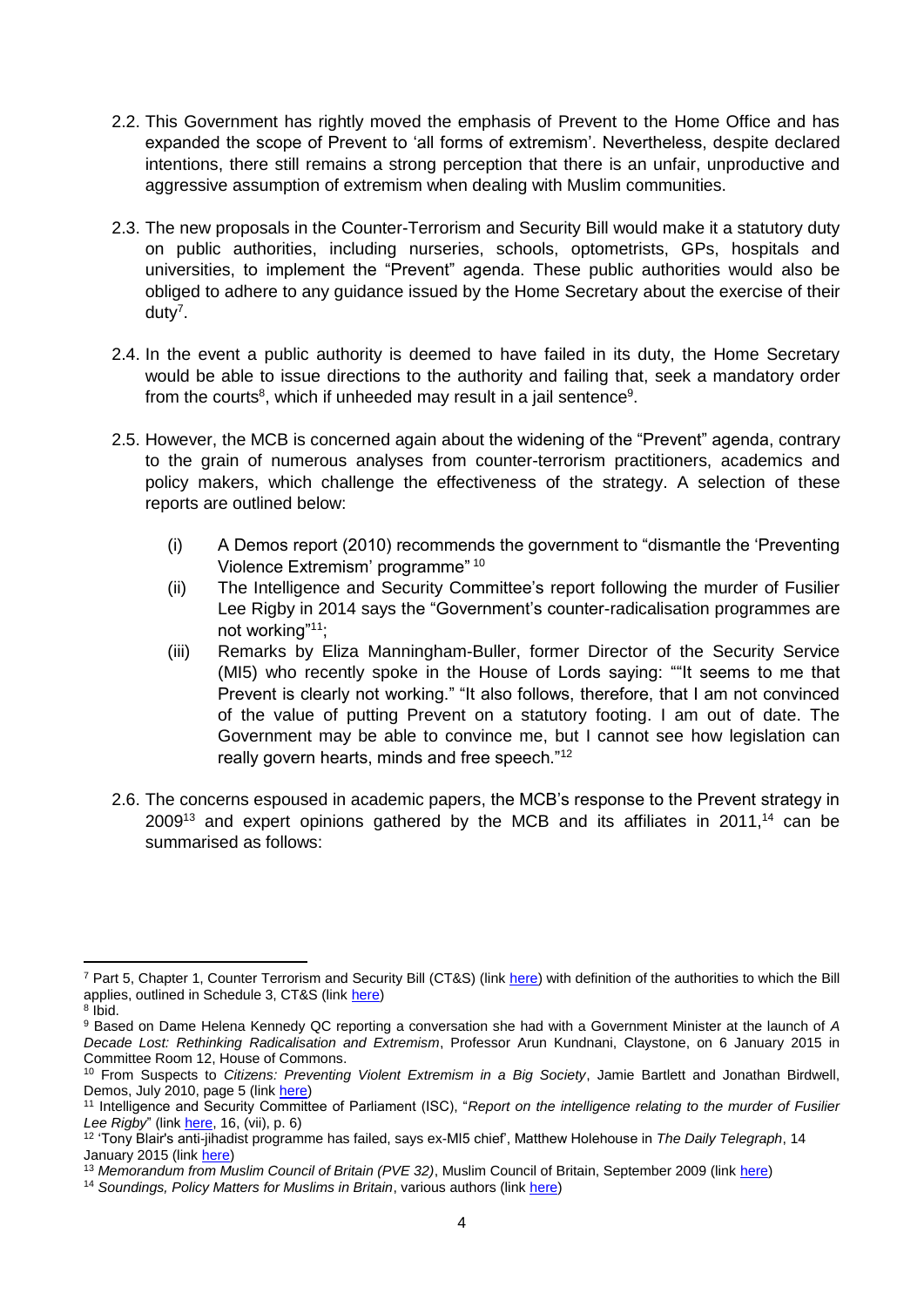- 2.2. This Government has rightly moved the emphasis of Prevent to the Home Office and has expanded the scope of Prevent to 'all forms of extremism'. Nevertheless, despite declared intentions, there still remains a strong perception that there is an unfair, unproductive and aggressive assumption of extremism when dealing with Muslim communities.
- 2.3. The new proposals in the Counter-Terrorism and Security Bill would make it a statutory duty on public authorities, including nurseries, schools, optometrists, GPs, hospitals and universities, to implement the "Prevent" agenda. These public authorities would also be obliged to adhere to any guidance issued by the Home Secretary about the exercise of their duty<sup>7</sup>.
- 2.4. In the event a public authority is deemed to have failed in its duty, the Home Secretary would be able to issue directions to the authority and failing that, seek a mandatory order from the courts<sup>8</sup>, which if unheeded may result in a jail sentence<sup>9</sup>.
- 2.5. However, the MCB is concerned again about the widening of the "Prevent" agenda, contrary to the grain of numerous analyses from counter-terrorism practitioners, academics and policy makers, which challenge the effectiveness of the strategy. A selection of these reports are outlined below:
	- (i) A Demos report (2010) recommends the government to "dismantle the 'Preventing Violence Extremism' programme" <sup>10</sup>
	- (ii) The Intelligence and Security Committee's report following the murder of Fusilier Lee Rigby in 2014 says the "Government's counter-radicalisation programmes are not working"<sup>11</sup>;
	- (iii) Remarks by Eliza Manningham-Buller, former Director of the Security Service (MI5) who recently spoke in the House of Lords saying: ""It seems to me that Prevent is clearly not working." "It also follows, therefore, that I am not convinced of the value of putting Prevent on a statutory footing. I am out of date. The Government may be able to convince me, but I cannot see how legislation can really govern hearts, minds and free speech."<sup>12</sup>
- 2.6. The concerns espoused in academic papers, the MCB's response to the Prevent strategy in  $2009^{13}$  and expert opinions gathered by the MCB and its affiliates in 2011,<sup>14</sup> can be summarised as follows:

**.** 

<sup>7</sup> Part 5, Chapter 1, Counter Terrorism and Security Bill (CT&S) (link [here\)](http://www.publications.parliament.uk/pa/bills/lbill/2014-2015/0075/lbill_2014-20150075_en_3.htm#pt5-ch1-l1g21) with definition of the authorities to which the Bill applies, outlined in Schedule 3, CT&S (link [here\)](http://www.publications.parliament.uk/pa/bills/lbill/2014-2015/0075/lbill_2014-20150075_en_6.htm#sch3)

<sup>8</sup> Ibid.

<sup>9</sup> Based on Dame Helena Kennedy QC reporting a conversation she had with a Government Minister at the launch of *A Decade Lost: Rethinking Radicalisation and Extremism*, Professor Arun Kundnani, Claystone, on 6 January 2015 in Committee Room 12, House of Commons.

<sup>10</sup> From Suspects to *Citizens: Preventing Violent Extremism in a Big Society*, Jamie Bartlett and Jonathan Birdwell, Demos, July 2010, page 5 (link [here\)](http://www.demos.co.uk/files/From_Suspects_to_Citizens_-_web.pdf?1279732377)

<sup>&</sup>lt;sup>11</sup> Intelligence and Security Committee of Parliament (ISC), "Report on the intelligence relating to the murder of Fusilier *Lee Rigby*" (link [here,](https://b1cba9b3-a-5e6631fd-s-sites.googlegroups.com/a/independent.gov.uk/isc/files/20141125_ISC_Woolwich_Report%28website%29.pdf?attachauth=ANoY7coV2m01E0DeMISzycGZRl_RCCYCZ8aCzjtWKDGTzfUF05iwbdZ592E7q2aS-JREN8MGiNKdhcG5svmCverYECdHRnTLvtUOz0Vf_DOYUOeJ6SonKx21G97_EpD5Nm2bkULExkjuGWG9vntEkJgfQhEW3lCvatJziZxUcKF_1tlxbpXOkJG2cLqNzz4JiYMOOAx__1FigbyiY_gUYUWEfbEPcSpXe6bRGs1UDBrLREZoR46UmoqZ_8LjlUGxnBAnLn8n0cKp&attredirects=0) 16, (vii), p. 6)

<sup>12</sup> 'Tony Blair's anti-jihadist programme has failed, says ex-MI5 chief', Matthew Holehouse in *The Daily Telegraph*, 14 January 2015 (link *here*)

<sup>13</sup> *Memorandum from Muslim Council of Britain (PVE 32)*, Muslim Council of Britain, September 2009 (link [here\)](http://www.publications.parliament.uk/pa/cm200910/cmselect/cmcomloc/65/65we25.htm)

<sup>14</sup> *Soundings, Policy Matters for Muslims in Britain*, various authors (link [here\)](http://soundings.mcb.org.uk/?p=6)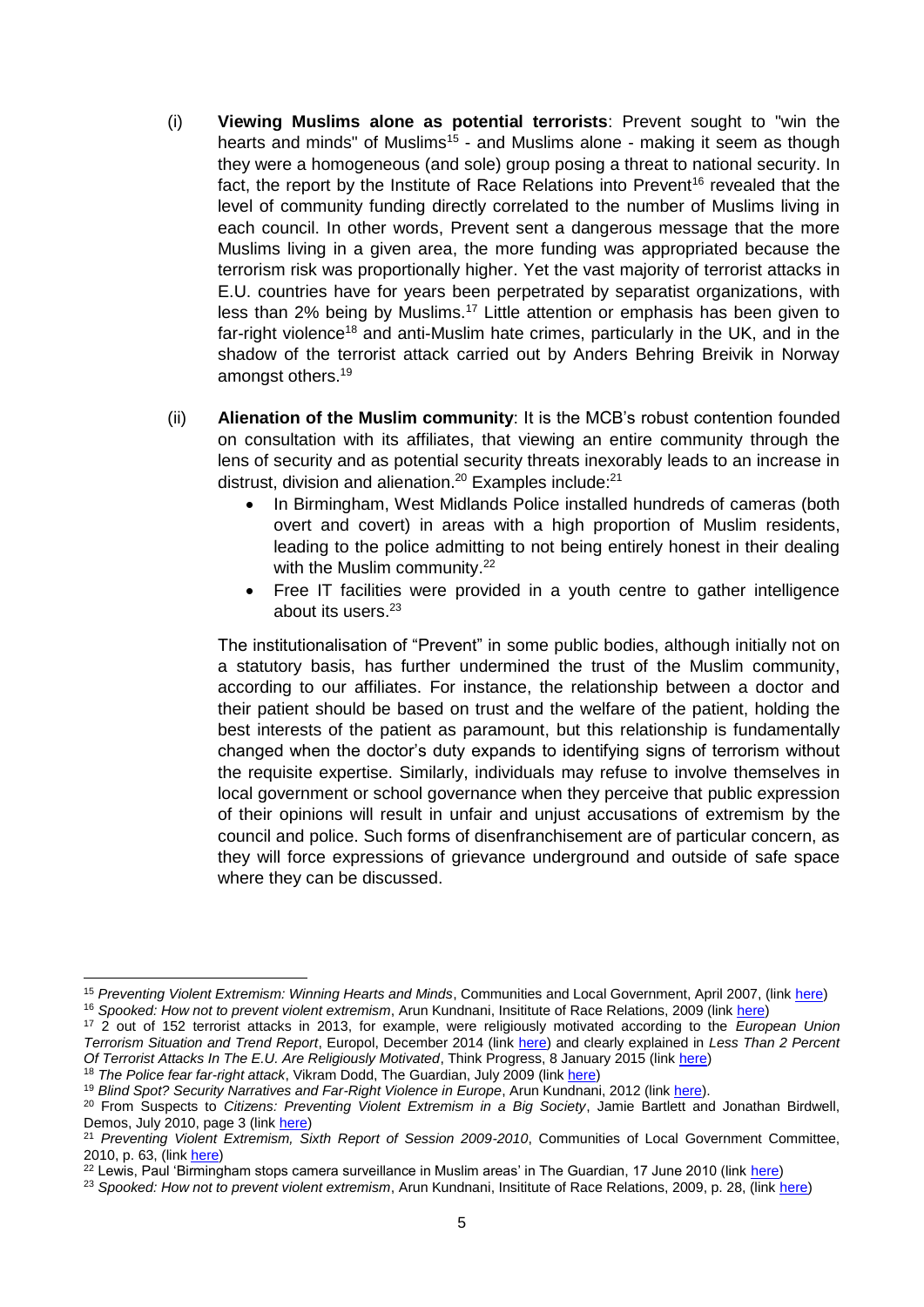- (i) **Viewing Muslims alone as potential terrorists**: Prevent sought to "win the hearts and minds" of Muslims<sup>15</sup> - and Muslims alone - making it seem as though they were a homogeneous (and sole) group posing a threat to national security. In fact, the report by the Institute of Race Relations into Prevent<sup>16</sup> revealed that the level of community funding directly correlated to the number of Muslims living in each council. In other words, Prevent sent a dangerous message that the more Muslims living in a given area, the more funding was appropriated because the terrorism risk was proportionally higher. Yet the vast majority of terrorist attacks in E.U. countries have for years been perpetrated by separatist organizations, with less than 2% being by Muslims.<sup>17</sup> Little attention or emphasis has been given to far-right violence<sup>18</sup> and anti-Muslim hate crimes, particularly in the UK, and in the shadow of the terrorist attack carried out by Anders Behring Breivik in Norway amongst others. 19
- (ii) **Alienation of the Muslim community**: It is the MCB's robust contention founded on consultation with its affiliates, that viewing an entire community through the lens of security and as potential security threats inexorably leads to an increase in distrust, division and alienation.<sup>20</sup> Examples include:<sup>21</sup>
	- In Birmingham, West Midlands Police installed hundreds of cameras (both overt and covert) in areas with a high proportion of Muslim residents, leading to the police admitting to not being entirely honest in their dealing with the Muslim community.<sup>22</sup>
	- Free IT facilities were provided in a youth centre to gather intelligence about its users. 23

The institutionalisation of "Prevent" in some public bodies, although initially not on a statutory basis, has further undermined the trust of the Muslim community, according to our affiliates. For instance, the relationship between a doctor and their patient should be based on trust and the welfare of the patient, holding the best interests of the patient as paramount, but this relationship is fundamentally changed when the doctor's duty expands to identifying signs of terrorism without the requisite expertise. Similarly, individuals may refuse to involve themselves in local government or school governance when they perceive that public expression of their opinions will result in unfair and unjust accusations of extremism by the council and police. Such forms of disenfranchisement are of particular concern, as they will force expressions of grievance underground and outside of safe space where they can be discussed.

 $\overline{\phantom{a}}$ 

<sup>15</sup> *Preventing Violent Extremism: Winning Hearts and Minds*, Communities and Local Government, April 2007, (link [here\)](http://resources.cohesioninstitute.org.uk/Publications/Documents/Document/DownloadDocumentsFile.aspx?recordId=133&file=PDFversion)

<sup>16</sup> *Spooked: How not to prevent violent extremism*, Arun Kundnani, Insititute of Race Relations, 2009 (link [here\)](http://www.irr.org.uk/pdf2/spooked.pdf)

<sup>17</sup> 2 out of 152 terrorist attacks in 2013, for example, were religiously motivated according to the *European Union Terrorism Situation and Trend Report*, Europol, December 2014 (link [here\)](https://www.europol.europa.eu/content/te-sat-2014-european-union-terrorism-situation-and-trend-report-2014) and clearly explained in *Less Than 2 Percent Of Terrorist Attacks In The E.U. Are Religiously Motivated*, Think Progress, 8 January 2015 (lin[k here\)](http://thinkprogress.org/world/2015/01/08/3609796/islamist-terrorism-europe/)

<sup>&</sup>lt;sup>18</sup> The Police fear far-right attack, Vikram Dodd, The Guardian, July 2009 (link [here\)](http://www.theguardian.com/uk/2009/jul/06/far-right-terrorism-threat-police)

<sup>19</sup> *Blind Spot? Security Narratives and Far-Right Violence in Europe*, Arun Kundnani, 2012 (link [here\)](http://www.icct.nl/download/file/ICCT-Kundnani-Blind-Spot-June-2012.pdf).

<sup>20</sup> From Suspects to *Citizens: Preventing Violent Extremism in a Big Society*, Jamie Bartlett and Jonathan Birdwell, Demos, July 2010, page 3 (link [here\)](http://www.demos.co.uk/files/From_Suspects_to_Citizens_-_web.pdf?1279732377)

<sup>21</sup> *Preventing Violent Extremism, Sixth Report of Session 2009-2010*, Communities of Local Government Committee, 2010, p. 63, (link [here\)](http://www.publications.parliament.uk/pa/cm200910/cmselect/cmcomloc/65/65.pdf)

<sup>&</sup>lt;sup>22</sup> Lewis, Paul 'Birmingham stops camera surveillance in Muslim areas' in The Guardian, 17 June 2010 (link [here\)](http://www.theguardian.com/uk/2010/jun/17/birmingham-stops-spy-cameras-project)

<sup>23</sup> *Spooked: How not to prevent violent extremism*, Arun Kundnani, Insititute of Race Relations, 2009, p. 28, (link [here\)](http://www.irr.org.uk/pdf2/spooked.pdf)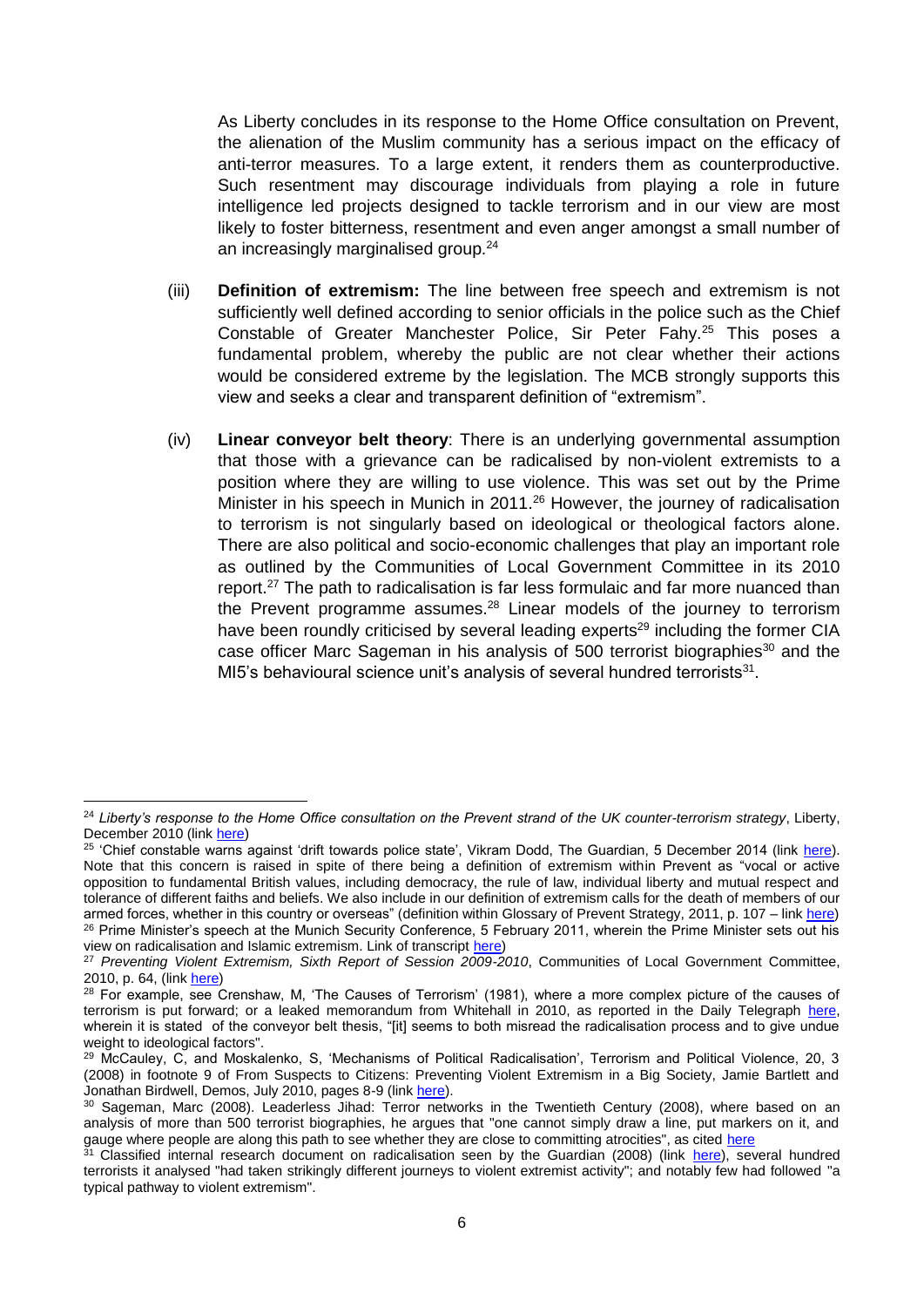As Liberty concludes in its response to the Home Office consultation on Prevent, the alienation of the Muslim community has a serious impact on the efficacy of anti-terror measures. To a large extent, it renders them as counterproductive. Such resentment may discourage individuals from playing a role in future intelligence led projects designed to tackle terrorism and in our view are most likely to foster bitterness, resentment and even anger amongst a small number of an increasingly marginalised group.<sup>24</sup>

- (iii) **Definition of extremism:** The line between free speech and extremism is not sufficiently well defined according to senior officials in the police such as the Chief Constable of Greater Manchester Police, Sir Peter Fahy.<sup>25</sup> This poses a fundamental problem, whereby the public are not clear whether their actions would be considered extreme by the legislation. The MCB strongly supports this view and seeks a clear and transparent definition of "extremism".
- (iv) **Linear conveyor belt theory**: There is an underlying governmental assumption that those with a grievance can be radicalised by non-violent extremists to a position where they are willing to use violence. This was set out by the Prime Minister in his speech in Munich in 2011.<sup>26</sup> However, the journey of radicalisation to terrorism is not singularly based on ideological or theological factors alone. There are also political and socio-economic challenges that play an important role as outlined by the Communities of Local Government Committee in its 2010 report.<sup>27</sup> The path to radicalisation is far less formulaic and far more nuanced than the Prevent programme assumes.<sup>28</sup> Linear models of the journey to terrorism have been roundly criticised by several leading experts<sup>29</sup> including the former CIA case officer Marc Sageman in his analysis of 500 terrorist biographies<sup>30</sup> and the MI5's behavioural science unit's analysis of several hundred terrorists $31$ .

**.** 

<sup>24</sup> *Liberty's response to the Home Office consultation on the Prevent strand of the UK counter-terrorism strategy*, Liberty, December 2010 (lin[k here\)](https://www.liberty-human-rights.org.uk/sites/default/files/response-to-home-office-consultation-on-prevent-january-2011.pdf)

<sup>&</sup>lt;sup>25</sup> 'Chief constable warns against 'drift towards police state', Vikram Dodd, The Guardian, 5 December 2014 (link [here\)](http://www.theguardian.com/uk-news/2014/dec/05/peter-fahy-police-state-warning). Note that this concern is raised in spite of there being a definition of extremism within Prevent as "vocal or active opposition to fundamental British values, including democracy, the rule of law, individual liberty and mutual respect and tolerance of different faiths and beliefs. We also include in our definition of extremism calls for the death of members of our armed forces, whether in this country or overseas" (definition within Glossary of Prevent Strategy, 2011, p. 107 – lin[k here\)](https://www.gov.uk/government/uploads/system/uploads/attachment_data/file/97976/prevent-strategy-review.pdf) <sup>26</sup> Prime Minister's speech at the Munich Security Conference, 5 February 2011, wherein the Prime Minister sets out his view on radicalisation and Islamic extremism. Link of transcript [here\)](https://www.gov.uk/government/speeches/pms-speech-at-munich-security-conference)

<sup>&</sup>lt;sup>27</sup> Preventing Violent Extremism, Sixth Report of Session 2009-2010, Communities of Local Government Committee, 2010, p. 64, (link [here\)](http://www.publications.parliament.uk/pa/cm200910/cmselect/cmcomloc/65/65.pdf)

<sup>&</sup>lt;sup>28</sup> For example, see Crenshaw, M, 'The Causes of Terrorism' (1981), where a more complex picture of the causes of terrorism is put forward; or a leaked memorandum from Whitehall in 2010, as reported in the Daily Telegraph [here,](http://www.telegraph.co.uk/journalists/andrew-gilligan/7908262/Hizb-ut-Tahrir-is-not-a-gateway-to-terrorism-claims-Whitehall-report.html) wherein it is stated of the conveyor belt thesis, "[it] seems to both misread the radicalisation process and to give undue weight to ideological factors".

<sup>29</sup> McCauley, C, and Moskalenko, S, 'Mechanisms of Political Radicalisation', Terrorism and Political Violence, 20, 3 (2008) in footnote 9 of From Suspects to Citizens: Preventing Violent Extremism in a Big Society, Jamie Bartlett and Jonathan Birdwell, Demos, July 2010, pages 8-9 (lin[k here\)](http://www.demos.co.uk/files/From_Suspects_to_Citizens_-_web.pdf?1279732377).

<sup>&</sup>lt;sup>30</sup> Sageman, Marc (2008). Leaderless Jihad: Terror networks in the Twentieth Century (2008), where based on an analysis of more than 500 terrorist biographies, he argues that "one cannot simply draw a line, put markers on it, and gauge where people are along this path to see whether they are close to committing atrocities", as cited [here](http://www.huffingtonpost.co.uk/2014/06/04/michael-gove-islam_n_5443576.html)

<sup>&</sup>lt;sup>31</sup> Classified internal research document on radicalisation seen by the Guardian (2008) (link [here\)](http://www.theguardian.com/uk/2008/aug/20/uksecurity.terrorism1), several hundred terrorists it analysed "had taken strikingly different journeys to violent extremist activity"; and notably few had followed "a typical pathway to violent extremism".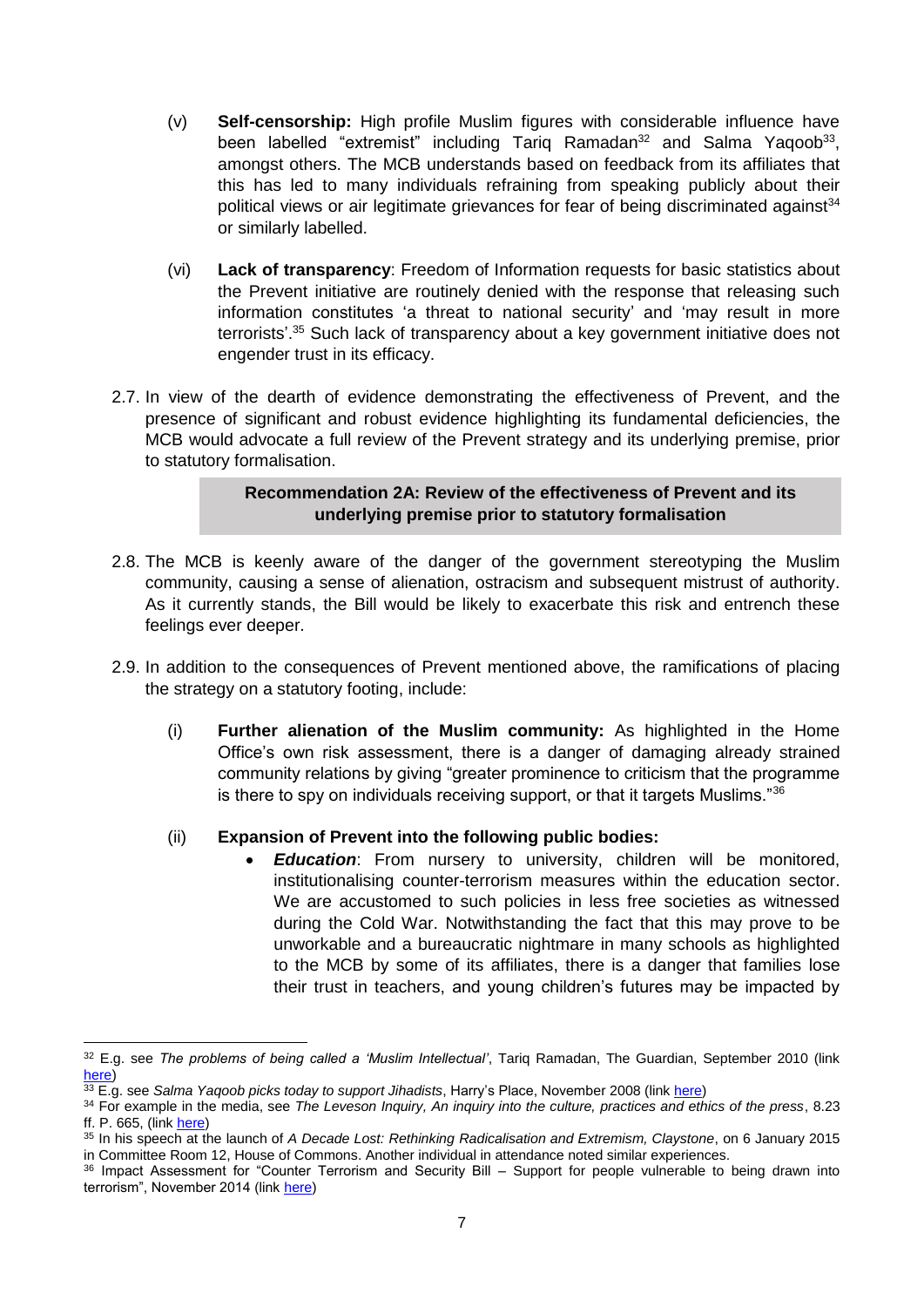- (v) **Self-censorship:** High profile Muslim figures with considerable influence have been labelled "extremist" including Tariq Ramadan<sup>32</sup> and Salma Yaqoob<sup>33</sup>, amongst others. The MCB understands based on feedback from its affiliates that this has led to many individuals refraining from speaking publicly about their political views or air legitimate grievances for fear of being discriminated against<sup>34</sup> or similarly labelled.
- (vi) **Lack of transparency**: Freedom of Information requests for basic statistics about the Prevent initiative are routinely denied with the response that releasing such information constitutes 'a threat to national security' and 'may result in more terrorists'. <sup>35</sup> Such lack of transparency about a key government initiative does not engender trust in its efficacy.
- 2.7. In view of the dearth of evidence demonstrating the effectiveness of Prevent, and the presence of significant and robust evidence highlighting its fundamental deficiencies, the MCB would advocate a full review of the Prevent strategy and its underlying premise, prior to statutory formalisation.

## **Recommendation 2A: Review of the effectiveness of Prevent and its underlying premise prior to statutory formalisation**

- 2.8. The MCB is keenly aware of the danger of the government stereotyping the Muslim community, causing a sense of alienation, ostracism and subsequent mistrust of authority. As it currently stands, the Bill would be likely to exacerbate this risk and entrench these feelings ever deeper.
- 2.9. In addition to the consequences of Prevent mentioned above, the ramifications of placing the strategy on a statutory footing, include:
	- (i) **Further alienation of the Muslim community:** As highlighted in the Home Office's own risk assessment, there is a danger of damaging already strained community relations by giving "greater prominence to criticism that the programme is there to spy on individuals receiving support, or that it targets Muslims."<sup>36</sup>

# (ii) **Expansion of Prevent into the following public bodies:**

*Education*: From nursery to university, children will be monitored, institutionalising counter-terrorism measures within the education sector. We are accustomed to such policies in less free societies as witnessed during the Cold War. Notwithstanding the fact that this may prove to be unworkable and a bureaucratic nightmare in many schools as highlighted to the MCB by some of its affiliates, there is a danger that families lose their trust in teachers, and young children's futures may be impacted by

**<sup>.</sup>** <sup>32</sup> E.g. see *The problems of being called a 'Muslim Intellectual'*, Tariq Ramadan, The Guardian, September 2010 (link [here\)](http://www.theguardian.com/commentisfree/belief/2010/sep/14/muslim-intellectual-critics-faith-problems)

<sup>33</sup> E.g. see *Salma Yaqoob picks today to support Jihadists*, Harry's Place, November 2008 (link [here\)](http://hurryupharry.org/2008/11/28/salma-yaqoob-picks-today-to-support-jihadists/)

<sup>34</sup> For example in the media, see *The Leveson Inquiry, An inquiry into the culture, practices and ethics of the press*, 8.23 ff. P. 665, (link [here\)](https://www.gov.uk/government/uploads/system/uploads/attachment_data/file/270941/0780_ii.pdf)

<sup>35</sup> In his speech at the launch of *A Decade Lost: Rethinking Radicalisation and Extremism, Claystone*, on 6 January 2015 in Committee Room 12, House of Commons. Another individual in attendance noted similar experiences.

<sup>36</sup> Impact Assessment for "Counter Terrorism and Security Bill – Support for people vulnerable to being drawn into terrorism", November 2014 (link [here\)](https://www.gov.uk/government/uploads/system/uploads/attachment_data/file/379850/Channel_IA_MASTER_COPY.pdf)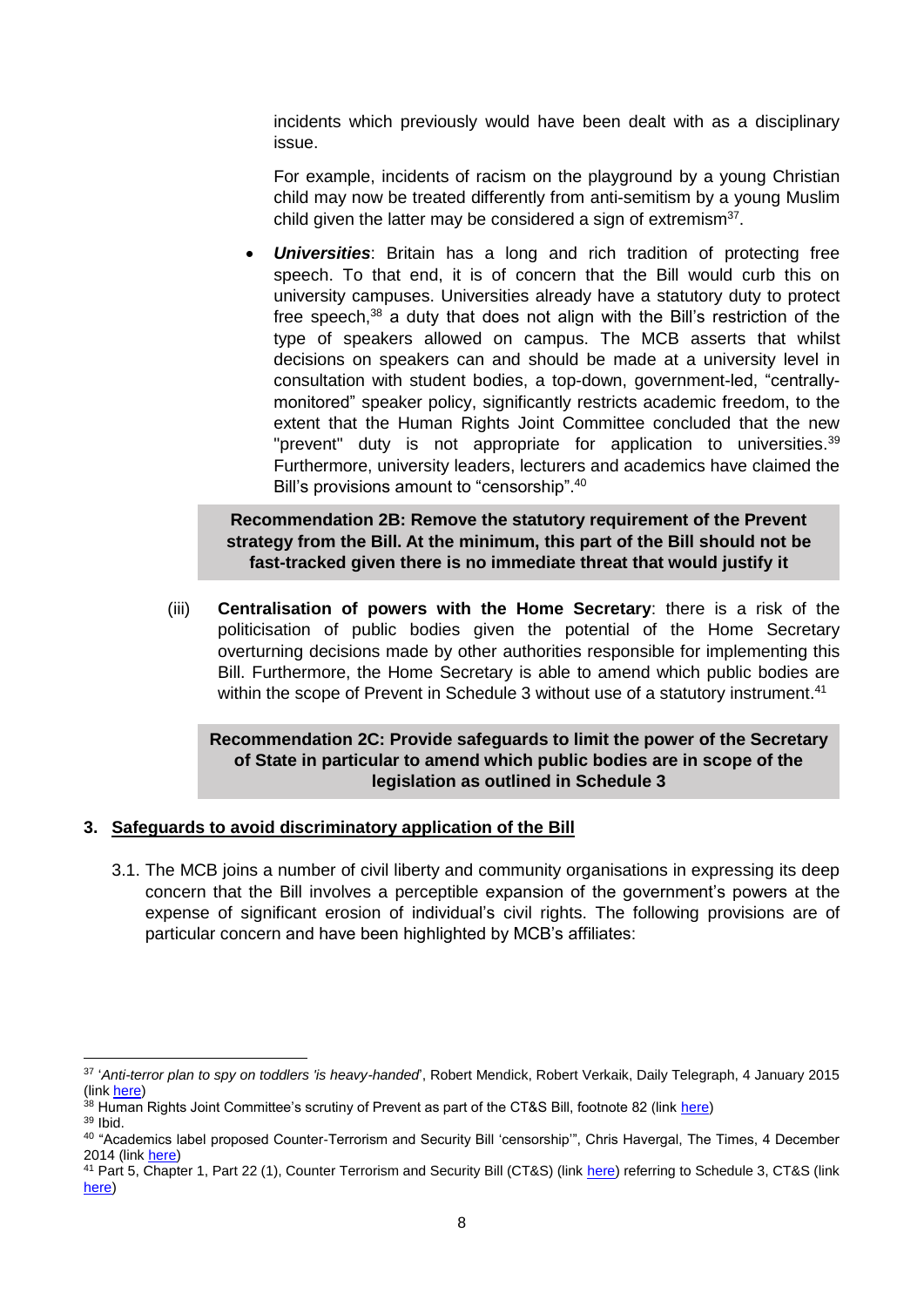incidents which previously would have been dealt with as a disciplinary issue.

For example, incidents of racism on the playground by a young Christian child may now be treated differently from anti-semitism by a young Muslim child given the latter may be considered a sign of extremism $37$ .

 *Universities*: Britain has a long and rich tradition of protecting free speech. To that end, it is of concern that the Bill would curb this on university campuses. Universities already have a statutory duty to protect free speech,<sup>38</sup> a duty that does not align with the Bill's restriction of the type of speakers allowed on campus. The MCB asserts that whilst decisions on speakers can and should be made at a university level in consultation with student bodies, a top-down, government-led, "centrallymonitored" speaker policy, significantly restricts academic freedom, to the extent that the Human Rights Joint Committee concluded that the new "prevent" duty is not appropriate for application to universities.<sup>39</sup> Furthermore, university leaders, lecturers and academics have claimed the Bill's provisions amount to "censorship".<sup>40</sup>

## **Recommendation 2B: Remove the statutory requirement of the Prevent strategy from the Bill. At the minimum, this part of the Bill should not be fast-tracked given there is no immediate threat that would justify it**

(iii) **Centralisation of powers with the Home Secretary**: there is a risk of the politicisation of public bodies given the potential of the Home Secretary overturning decisions made by other authorities responsible for implementing this Bill. Furthermore, the Home Secretary is able to amend which public bodies are within the scope of Prevent in Schedule 3 without use of a statutory instrument.<sup>41</sup>

## **Recommendation 2C: Provide safeguards to limit the power of the Secretary of State in particular to amend which public bodies are in scope of the legislation as outlined in Schedule 3**

### **3. Safeguards to avoid discriminatory application of the Bill**

3.1. The MCB joins a number of civil liberty and community organisations in expressing its deep concern that the Bill involves a perceptible expansion of the government's powers at the expense of significant erosion of individual's civil rights. The following provisions are of particular concern and have been highlighted by MCB's affiliates:

 $\overline{\phantom{a}}$ 37 '*Anti-terror plan to spy on toddlers 'is heavy-handed*', Robert Mendick, Robert Verkaik, Daily Telegraph, 4 January 2015 (link [here\)](http://www.telegraph.co.uk/news/uknews/terrorism-in-the-uk/11323558/Anti-terror-plan-to-spy-on-toddlers-is-heavy-handed.html)

<sup>38</sup> Human Rights Joint Committee's scrutiny of Prevent as part of the CT&S Bill, footnote 82 (link [here\)](http://www.publications.parliament.uk/pa/jt201415/jtselect/jtrights/86/8608.htm#note82) <sup>39</sup> Ibid.

<sup>&</sup>lt;sup>40</sup> "Academics label proposed Counter-Terrorism and Security Bill 'censorship'", Chris Havergal, The Times, 4 December 2014 (lin[k here\)](http://www.timeshighereducation.co.uk/news/academics-label-proposed-counter-terrorism-and-security-bill-censorship/2017351.article)

<sup>41</sup> Part 5, Chapter 1, Part 22 (1), Counter Terrorism and Security Bill (CT&S) (link [here\)](http://www.publications.parliament.uk/pa/bills/lbill/2014-2015/0075/lbill_2014-20150075_en_3.htm#pt5-ch1-l1g21) referring to Schedule 3, CT&S (link [here\)](http://www.publications.parliament.uk/pa/bills/lbill/2014-2015/0075/lbill_2014-20150075_en_6.htm#sch3)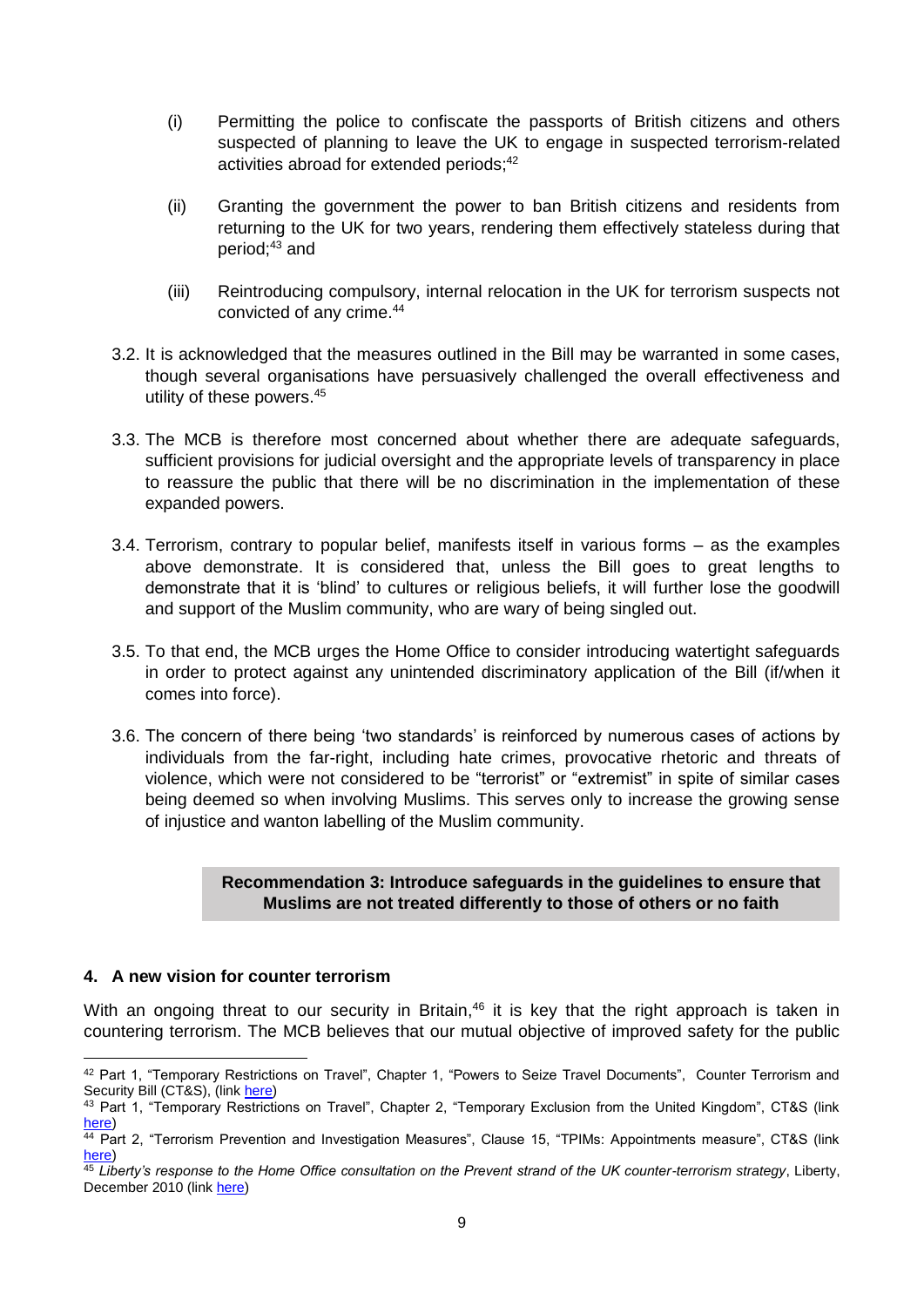- (i) Permitting the police to confiscate the passports of British citizens and others suspected of planning to leave the UK to engage in suspected terrorism-related activities abroad for extended periods; 42
- (ii) Granting the government the power to ban British citizens and residents from returning to the UK for two years, rendering them effectively stateless during that period; <sup>43</sup> and
- (iii) Reintroducing compulsory, internal relocation in the UK for terrorism suspects not convicted of any crime. 44
- 3.2. It is acknowledged that the measures outlined in the Bill may be warranted in some cases, though several organisations have persuasively challenged the overall effectiveness and utility of these powers. 45
- 3.3. The MCB is therefore most concerned about whether there are adequate safeguards, sufficient provisions for judicial oversight and the appropriate levels of transparency in place to reassure the public that there will be no discrimination in the implementation of these expanded powers.
- 3.4. Terrorism, contrary to popular belief, manifests itself in various forms as the examples above demonstrate. It is considered that, unless the Bill goes to great lengths to demonstrate that it is 'blind' to cultures or religious beliefs, it will further lose the goodwill and support of the Muslim community, who are wary of being singled out.
- 3.5. To that end, the MCB urges the Home Office to consider introducing watertight safeguards in order to protect against any unintended discriminatory application of the Bill (if/when it comes into force).
- 3.6. The concern of there being 'two standards' is reinforced by numerous cases of actions by individuals from the far-right, including hate crimes, provocative rhetoric and threats of violence, which were not considered to be "terrorist" or "extremist" in spite of similar cases being deemed so when involving Muslims. This serves only to increase the growing sense of injustice and wanton labelling of the Muslim community.

## **Recommendation 3: Introduce safeguards in the guidelines to ensure that Muslims are not treated differently to those of others or no faith**

### **4. A new vision for counter terrorism**

With an ongoing threat to our security in Britain,<sup>46</sup> it is key that the right approach is taken in countering terrorism. The MCB believes that our mutual objective of improved safety for the public

 $\overline{\phantom{a}}$ 42 Part 1, "Temporary Restrictions on Travel", Chapter 1, "Powers to Seize Travel Documents", Counter Terrorism and Security Bill (CT&S), (lin[k here\)](http://www.publications.parliament.uk/pa/bills/lbill/2014-2015/0075/lbill_2014-20150075_en_2.htm#pt1-ch1-l1g1)

<sup>&</sup>lt;sup>43</sup> Part 1, "Temporary Restrictions on Travel", Chapter 2, "Temporary Exclusion from the United Kingdom", CT&S (link [here\)](http://www.publications.parliament.uk/pa/bills/lbill/2014-2015/0075/lbill_2014-20150075_en_2.htm#pt1-ch2-l1g2)

<sup>&</sup>lt;sup>44</sup> Part 2, "Terrorism Prevention and Investigation Measures", Clause 15, "TPIMs: Appointments measure", CT&S (link [here\)](http://www.publications.parliament.uk/pa/bills/lbill/2014-2015/0075/lbill_2014-20150075_en_2.htm#pt2-l1g15)

<sup>45</sup> *Liberty's response to the Home Office consultation on the Prevent strand of the UK counter-terrorism strategy*, Liberty, December 2010 (lin[k here\)](https://www.liberty-human-rights.org.uk/sites/default/files/response-to-home-office-consultation-on-prevent-january-2011.pdf)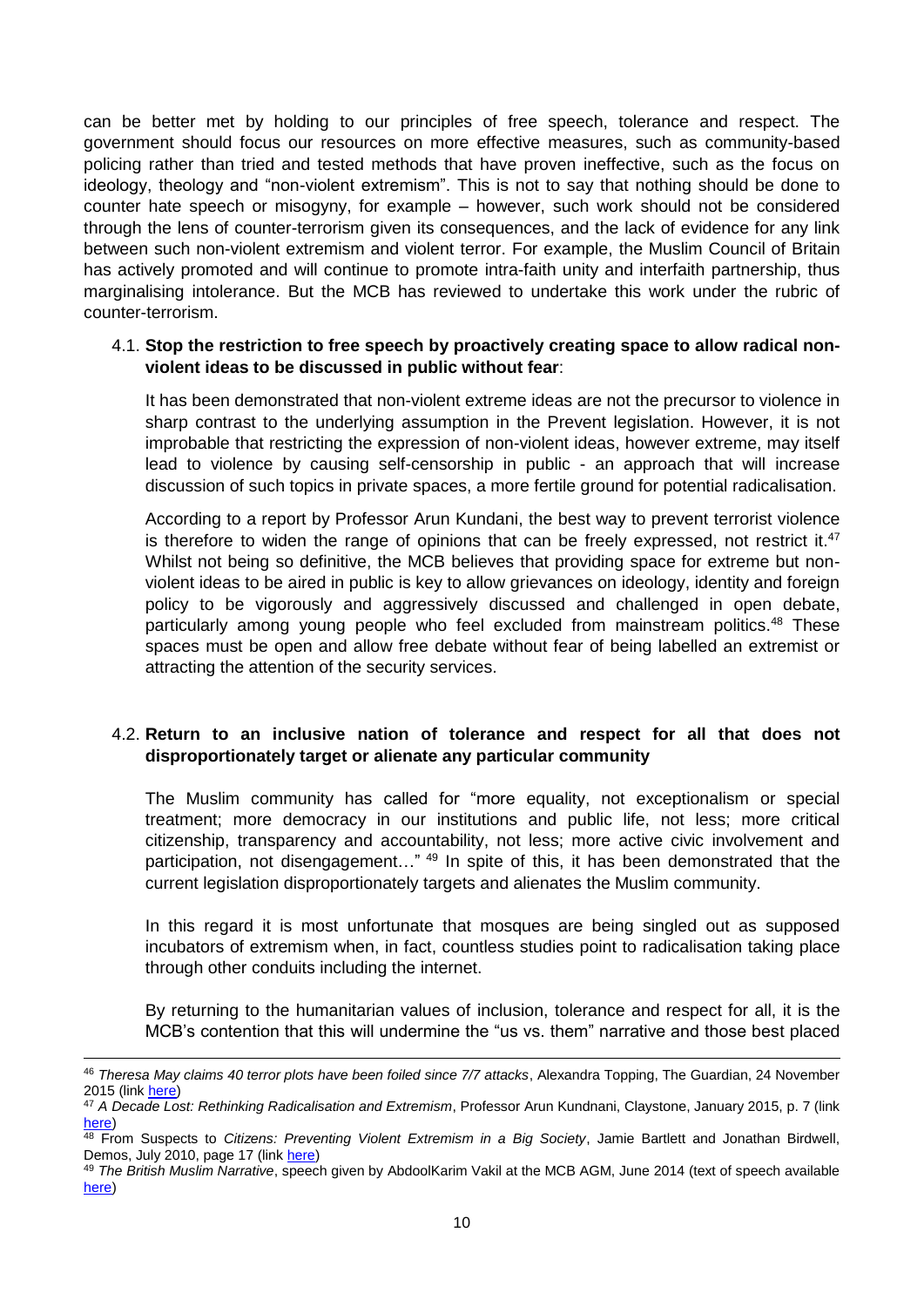can be better met by holding to our principles of free speech, tolerance and respect. The government should focus our resources on more effective measures, such as community-based policing rather than tried and tested methods that have proven ineffective, such as the focus on ideology, theology and "non-violent extremism". This is not to say that nothing should be done to counter hate speech or misogyny, for example – however, such work should not be considered through the lens of counter-terrorism given its consequences, and the lack of evidence for any link between such non-violent extremism and violent terror. For example, the Muslim Council of Britain has actively promoted and will continue to promote intra-faith unity and interfaith partnership, thus marginalising intolerance. But the MCB has reviewed to undertake this work under the rubric of counter-terrorism.

### 4.1. **Stop the restriction to free speech by proactively creating space to allow radical nonviolent ideas to be discussed in public without fear**:

It has been demonstrated that non-violent extreme ideas are not the precursor to violence in sharp contrast to the underlying assumption in the Prevent legislation. However, it is not improbable that restricting the expression of non-violent ideas, however extreme, may itself lead to violence by causing self-censorship in public - an approach that will increase discussion of such topics in private spaces, a more fertile ground for potential radicalisation.

According to a report by Professor Arun Kundani, the best way to prevent terrorist violence is therefore to widen the range of opinions that can be freely expressed, not restrict it.<sup>47</sup> Whilst not being so definitive, the MCB believes that providing space for extreme but nonviolent ideas to be aired in public is key to allow grievances on ideology, identity and foreign policy to be vigorously and aggressively discussed and challenged in open debate, particularly among young people who feel excluded from mainstream politics.<sup>48</sup> These spaces must be open and allow free debate without fear of being labelled an extremist or attracting the attention of the security services.

## 4.2. **Return to an inclusive nation of tolerance and respect for all that does not disproportionately target or alienate any particular community**

The Muslim community has called for "more equality, not exceptionalism or special treatment; more democracy in our institutions and public life, not less; more critical citizenship, transparency and accountability, not less; more active civic involvement and participation, not disengagement..."<sup>49</sup> In spite of this, it has been demonstrated that the current legislation disproportionately targets and alienates the Muslim community.

In this regard it is most unfortunate that mosques are being singled out as supposed incubators of extremism when, in fact, countless studies point to radicalisation taking place through other conduits including the internet.

By returning to the humanitarian values of inclusion, tolerance and respect for all, it is the MCB's contention that this will undermine the "us vs. them" narrative and those best placed

 $\overline{\phantom{a}}$ 

<sup>46</sup> *Theresa May claims 40 terror plots have been foiled since 7/7 attacks*, Alexandra Topping, The Guardian, 24 November 2015 (lin[k here\)](http://www.theguardian.com/politics/2014/nov/24/theresa-may-london-attacks-40-terror-plots-foiled)

<sup>47</sup> *A Decade Lost: Rethinking Radicalisation and Extremism*, Professor Arun Kundnani, Claystone, January 2015, p. 7 (link [here\)](http://www.claystone.org.uk/wp-content/uploads/2015/01/Claystone-rethinking-radicalisation.pdf)

<sup>48</sup> From Suspects to *Citizens: Preventing Violent Extremism in a Big Society*, Jamie Bartlett and Jonathan Birdwell, Demos, July 2010, page 17 (link [here\)](http://www.demos.co.uk/files/From_Suspects_to_Citizens_-_web.pdf?1279732377)

<sup>49</sup> *The British Muslim Narrative*, speech given by AbdoolKarim Vakil at the MCB AGM, June 2014 (text of speech available [here\)](http://www.salaam.co.uk/muslimsinbritain/?p=2136)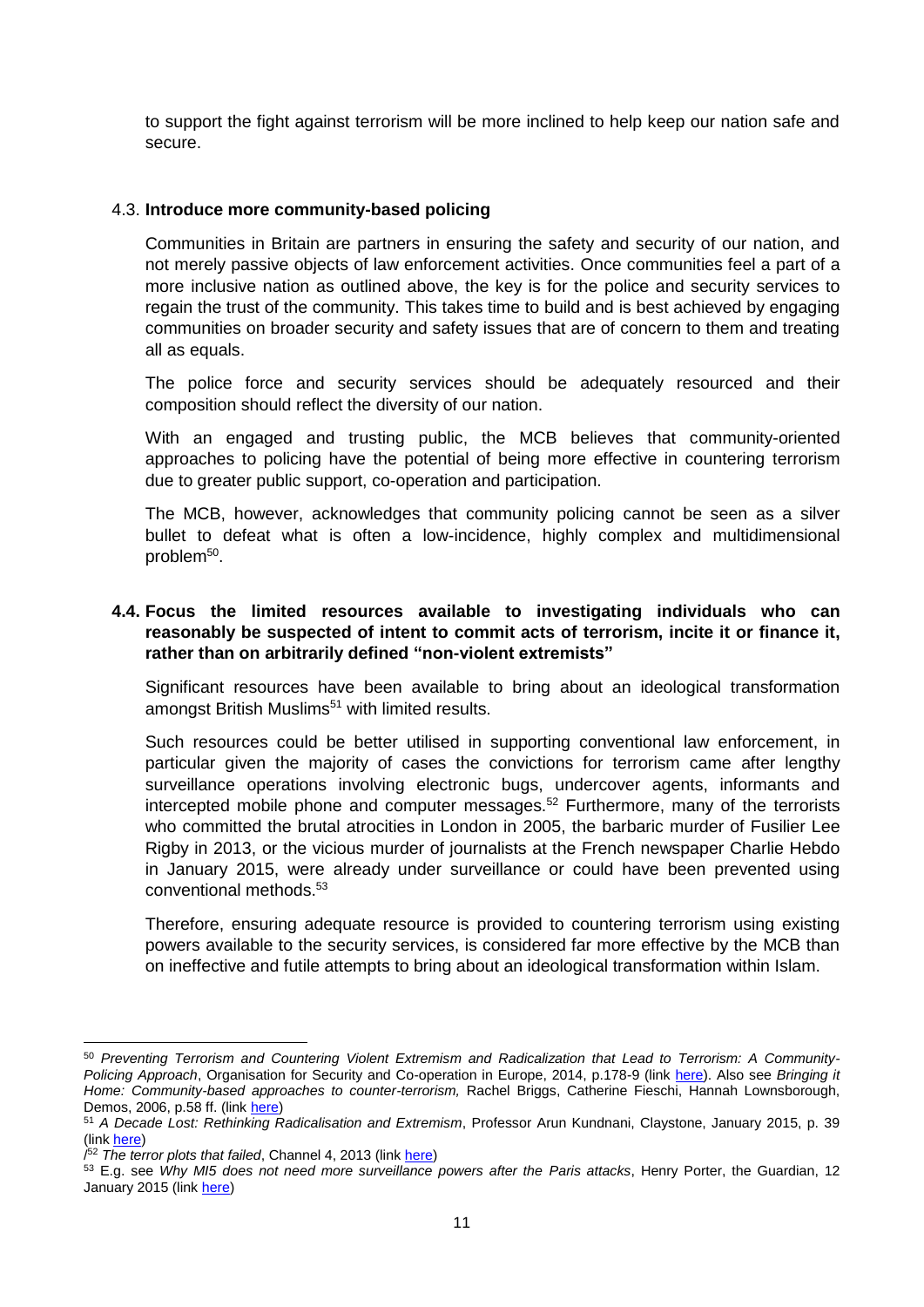to support the fight against terrorism will be more inclined to help keep our nation safe and secure.

#### 4.3. **Introduce more community-based policing**

Communities in Britain are partners in ensuring the safety and security of our nation, and not merely passive objects of law enforcement activities. Once communities feel a part of a more inclusive nation as outlined above, the key is for the police and security services to regain the trust of the community. This takes time to build and is best achieved by engaging communities on broader security and safety issues that are of concern to them and treating all as equals.

The police force and security services should be adequately resourced and their composition should reflect the diversity of our nation.

With an engaged and trusting public, the MCB believes that community-oriented approaches to policing have the potential of being more effective in countering terrorism due to greater public support, co-operation and participation.

The MCB, however, acknowledges that community policing cannot be seen as a silver bullet to defeat what is often a low-incidence, highly complex and multidimensional problem<sup>50</sup>.

## **4.4. Focus the limited resources available to investigating individuals who can reasonably be suspected of intent to commit acts of terrorism, incite it or finance it, rather than on arbitrarily defined "non-violent extremists"**

Significant resources have been available to bring about an ideological transformation amongst British Muslims<sup>51</sup> with limited results.

Such resources could be better utilised in supporting conventional law enforcement, in particular given the majority of cases the convictions for terrorism came after lengthy surveillance operations involving electronic bugs, undercover agents, informants and intercepted mobile phone and computer messages.<sup>52</sup> Furthermore, many of the terrorists who committed the brutal atrocities in London in 2005, the barbaric murder of Fusilier Lee Rigby in 2013, or the vicious murder of journalists at the French newspaper Charlie Hebdo in January 2015, were already under surveillance or could have been prevented using conventional methods. 53

Therefore, ensuring adequate resource is provided to countering terrorism using existing powers available to the security services, is considered far more effective by the MCB than on ineffective and futile attempts to bring about an ideological transformation within Islam.

**.** 

<sup>50</sup> *Preventing Terrorism and Countering Violent Extremism and Radicalization that Lead to Terrorism: A Community-Policing Approach*, Organisation for Security and Co-operation in Europe, 2014, p.178-9 (link [here\)](http://www.osce.org/atu/111438?download=true). Also see *Bringing it*  Home: Community-based approaches to counter-terrorism, Rachel Briggs, Catherine Fieschi, Hannah Lownsborough, Demos, 2006, p.58 ff. (link [here\)](http://www.demos.co.uk/files/Bringing%20it%20Home%20-%20web.pdf?1240939425)

<sup>51</sup> *A Decade Lost: Rethinking Radicalisation and Extremism*, Professor Arun Kundnani, Claystone, January 2015, p. 39 (link [here\)](http://www.claystone.org.uk/wp-content/uploads/2015/01/Claystone-rethinking-radicalisation.pdf)

<sup>/</sup> <sup>52</sup> *The terror plots that failed*, Channel 4, 2013 (link [here\)](http://blogs.channel4.com/factcheck/factcheck-the-terror-plots-that-failed/13574)

<sup>53</sup> E.g. see *Why MI5 does not need more surveillance powers after the Paris attacks*, Henry Porter, the Guardian, 12 January 2015 (link [here\)](http://www.theguardian.com/commentisfree/2015/jan/12/mi5-surveillance-powers-paris-attacks-terrorists)